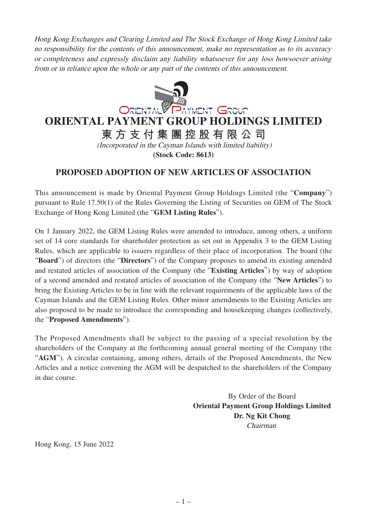Hong Kong Exchanges and Clearing Limited and The Stock Exchange of Hong Kong Limited take no responsibility for the contents of this announcement, make no representation as to its accuracy or completeness and expressly disclaim any liability whatsoever for any loss howsoever arising from or in reliance upon the whole or any part of the contents of this announcement.



## **ORIENTAL PAYMENT GROUP HOLDINGS LIMITED**

**東方支付集團控股有限公司** (Incorporated in the Cayman Islands with limited liability)

**(Stock Code: 8613)**

## **PROPOSED ADOPTION OF NEW ARTICLES OF ASSOCIATION**

This announcement is made by Oriental Payment Group Holdings Limited (the "**Company**") pursuant to Rule 17.50(1) of the Rules Governing the Listing of Securities on GEM of The Stock Exchange of Hong Kong Limited (the "**GEM Listing Rules**").

On 1 January 2022, the GEM Listing Rules were amended to introduce, among others, a uniform set of 14 core standards for shareholder protection as set out in Appendix 3 to the GEM Listing Rules, which are applicable to issuers regardless of their place of incorporation. The board (the "**Board**") of directors (the "**Directors**") of the Company proposes to amend its existing amended and restated articles of association of the Company (the "**Existing Articles**") by way of adoption of a second amended and restated articles of association of the Company (the "**New Articles**") to bring the Existing Articles to be in line with the relevant requirements of the applicable laws of the Cayman Islands and the GEM Listing Rules. Other minor amendments to the Existing Articles are also proposed to be made to introduce the corresponding and housekeeping changes (collectively, the "**Proposed Amendments**").

The Proposed Amendments shall be subject to the passing of a special resolution by the shareholders of the Company at the forthcoming annual general meeting of the Company (the "**AGM**"). A circular containing, among others, details of the Proposed Amendments, the New Articles and a notice convening the AGM will be despatched to the shareholders of the Company in due course.

> By Order of the Board **Oriental Payment Group Holdings Limited Dr. Ng Kit Chong** Chairman

Hong Kong, 15 June 2022